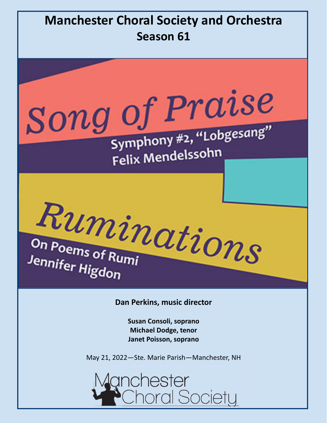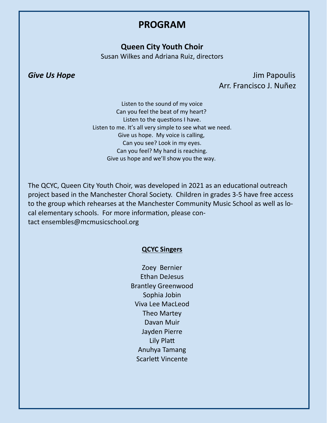### **PROGRAM**

#### **Queen City Youth Choir**

Susan Wilkes and Adriana Ruiz, directors

**Give Us Hope**  *Give Us Hope <i>Give Us Hope All the Security Contract Contract Contract Contract Contract Contract Contract Contract Contract Contract Contract Contract Contract Contract Contract Contract Contra* Arr. Francisco J. Nuñez

> Listen to the sound of my voice Can you feel the beat of my heart? Listen to the questions I have. Listen to me. It's all very simple to see what we need. Give us hope. My voice is calling, Can you see? Look in my eyes. Can you feel? My hand is reaching. Give us hope and we'll show you the way.

The QCYC, Queen City Youth Choir, was developed in 2021 as an educational outreach project based in the Manchester Choral Society. Children in grades 3‐5 have free access to the group which rehearses at the Manchester Community Music School as well as lo‐ cal elementary schools. For more information, please contact ensembles@mcmusicschool.org

#### **QCYC Singers**

Zoey Bernier Ethan DeJesus Brantley Greenwood Sophia Jobin Viva Lee MacLeod Theo Martey Davan Muir Jayden Pierre Lily Platt Anuhya Tamang Scarlett Vincente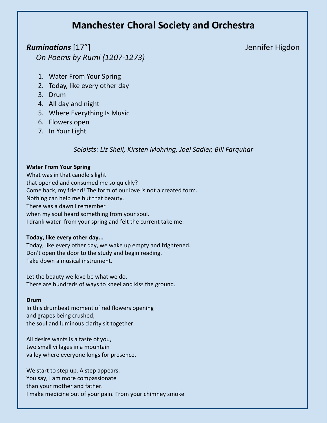### **Manchester Choral Society and Orchestra**

### *RuminaƟons* [17"]Jennifer Higdon *On Poems by Rumi (1207‐1273)*

- 1. Water From Your Spring
- 2. Today, like every other day
- 3. Drum
- 4. All day and night
- 5. Where Everything Is Music
- 6. Flowers open
- 7. In Your Light

#### *Soloists: Liz Sheil, Kirsten Mohring, Joel Sadler, Bill Farquhar*

#### **Water From Your Spring**

What was in that candle's light that opened and consumed me so quickly? Come back, my friend! The form of our love is not a created form. Nothing can help me but that beauty. There was a dawn I remember when my soul heard something from your soul. I drank water from your spring and felt the current take me.

#### **Today, like every other day...**

Today, like every other day, we wake up empty and frightened. Don't open the door to the study and begin reading. Take down a musical instrument.

Let the beauty we love be what we do. There are hundreds of ways to kneel and kiss the ground.

#### **Drum**

In this drumbeat moment of red flowers opening and grapes being crushed, the soul and luminous clarity sit together.

All desire wants is a taste of you, two small villages in a mountain valley where everyone longs for presence.

We start to step up. A step appears. You say, I am more compassionate than your mother and father. I make medicine out of your pain. From your chimney smoke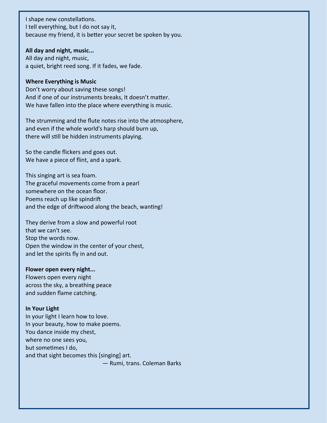I shape new constellations. I tell everything, but I do not say it, because my friend, it is better your secret be spoken by you.

#### **All day and night, music...**

All day and night, music, a quiet, bright reed song. If it fades, we fade.

#### **Where Everything is Music**

Don't worry about saving these songs! And if one of our instruments breaks, It doesn't matter. We have fallen into the place where everything is music.

The strumming and the flute notes rise into the atmosphere, and even if the whole world's harp should burn up, there will still be hidden instruments playing.

So the candle flickers and goes out. We have a piece of flint, and a spark.

This singing art is sea foam. The graceful movements come from a pearl somewhere on the ocean floor. Poems reach up like spindrift and the edge of driftwood along the beach, wanting!

They derive from a slow and powerful root that we can't see. Stop the words now. Open the window in the center of your chest, and let the spirits fly in and out.

#### **Flower open every night...**

Flowers open every night across the sky, a breathing peace and sudden flame catching.

#### **In Your Light**

In your light I learn how to love. In your beauty, how to make poems. You dance inside my chest, where no one sees you, but sometimes I do, and that sight becomes this [singing] art. — Rumi, trans. Coleman Barks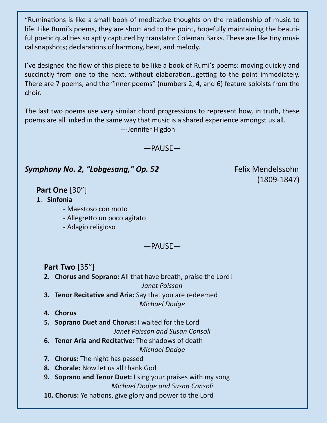"Ruminations is like a small book of meditative thoughts on the relationship of music to life. Like Rumi's poems, they are short and to the point, hopefully maintaining the beautiful poetic qualities so aptly captured by translator Coleman Barks. These are like tiny musical snapshots; declarations of harmony, beat, and melody.

I've designed the flow of this piece to be like a book of Rumi's poems: moving quickly and succinctly from one to the next, without elaboration... getting to the point immediately. There are 7 poems, and the "inner poems" (numbers 2, 4, and 6) feature soloists from the choir.

The last two poems use very similar chord progressions to represent how, in truth, these poems are all linked in the same way that music is a shared experience amongst us all. ‐‐‐Jennifer Higdon

—PAUSE—

### **Symphony No. 2, "Lobgesang," Op. 52**  *Eelix Mendelssohn*

(1809‐1847)

### **Part One** [30"]

- 1. **Sinfonia**
	- ‐ Maestoso con moto
	- ‐ AllegreƩo un poco agitato
	- ‐ Adagio religioso

—PAUSE—

**Part Two** [35"]

- **2. Chorus and Soprano:** All that have breath, praise the Lord! *Janet Poisson*
- **3. Tenor Recitative and Aria:** Say that you are redeemed *Michael Dodge*
- **4. Chorus**
- **5. Soprano Duet and Chorus:** I waited for the Lord
	- *Janet Poisson and Susan Consoli*
- **6. Tenor Aria and Recitative:** The shadows of death *Michael Dodge*
- **7. Chorus:** The night has passed
- **8. Chorale:** Now let us all thank God
- **9. Soprano and Tenor Duet:** I sing your praises with my song *Michael Dodge and Susan Consoli*
- **10. Chorus:** Ye nations, give glory and power to the Lord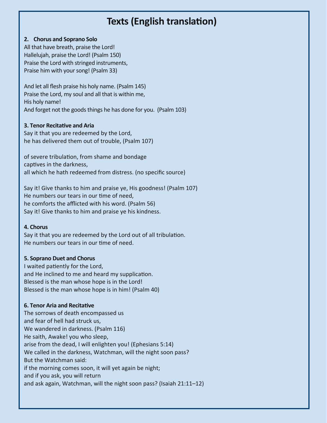### **Texts (English translation)**

#### **2. Chorus and Soprano Solo**

All that have breath, praise the Lord! Hallelujah, praise the Lord! (Psalm 150) Praise the Lord with stringed instruments, Praise him with your song! (Psalm 33)

And let all flesh praise his holy name. (Psalm 145) Praise the Lord, my soul and all that is within me, His holy name! And forget not the goods things he has done for you. (Psalm 103)

#### **3. Tenor RecitaƟve and Aria**

Say it that you are redeemed by the Lord, he has delivered them out of trouble, (Psalm 107)

of severe tribulation, from shame and bondage captives in the darkness, all which he hath redeemed from distress. (no specific source)

Say it! Give thanks to him and praise ye, His goodness! (Psalm 107) He numbers our tears in our time of need, he comforts the afflicted with his word. (Psalm 56) Say it! Give thanks to him and praise ye his kindness.

#### **4. Chorus**

Say it that you are redeemed by the Lord out of all tribulation. He numbers our tears in our time of need.

#### **5. Soprano Duet and Chorus**

I waited patiently for the Lord, and He inclined to me and heard my supplication. Blessed is the man whose hope is in the Lord! Blessed is the man whose hope is in him! (Psalm 40)

#### **6. Tenor Aria and RecitaƟve**

The sorrows of death encompassed us and fear of hell had struck us, We wandered in darkness. (Psalm 116) He saith, Awake! you who sleep, arise from the dead, I will enlighten you! (Ephesians 5:14) We called in the darkness, Watchman, will the night soon pass? But the Watchman said: if the morning comes soon, it will yet again be night; and if you ask, you will return and ask again, Watchman, will the night soon pass? (Isaiah 21:11–12)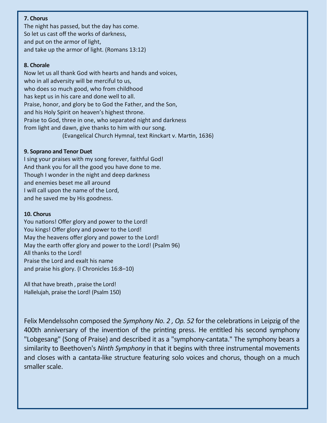#### **7. Chorus**

The night has passed, but the day has come. So let us cast off the works of darkness, and put on the armor of light, and take up the armor of light. (Romans 13:12)

#### **8. Chorale**

Now let us all thank God with hearts and hands and voices, who in all adversity will be merciful to us, who does so much good, who from childhood has kept us in his care and done well to all. Praise, honor, and glory be to God the Father, and the Son, and his Holy Spirit on heaven's highest throne. Praise to God, three in one, who separated night and darkness from light and dawn, give thanks to him with our song. (Evangelical Church Hymnal, text Rinckart v. Martin, 1636)

#### **9. Soprano and Tenor Duet**

I sing your praises with my song forever, faithful God! And thank you for all the good you have done to me. Though I wonder in the night and deep darkness and enemies beset me all around I will call upon the name of the Lord, and he saved me by His goodness.

#### **10. Chorus**

You nations! Offer glory and power to the Lord! You kings! Offer glory and power to the Lord! May the heavens offer glory and power to the Lord! May the earth offer glory and power to the Lord! (Psalm 96) All thanks to the Lord! Praise the Lord and exalt his name and praise his glory. (I Chronicles 16:8–10)

All that have breath , praise the Lord! Hallelujah, praise the Lord! (Psalm 150)

Felix Mendelssohn composed the *Symphony No. 2, Op. 52* for the celebrations in Leipzig of the 400th anniversary of the invention of the printing press. He entitled his second symphony "Lobgesang" (Song of Praise) and described it as a "symphony‐cantata." The symphony bears a similarity to Beethoven's *Ninth Symphony* in that it begins with three instrumental movements and closes with a cantata‐like structure featuring solo voices and chorus, though on a much smaller scale.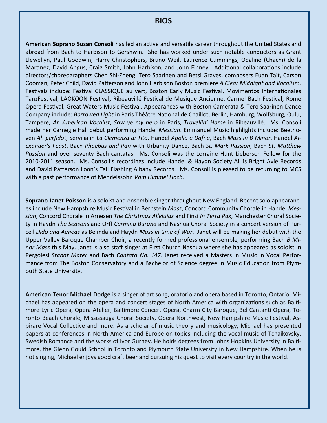#### **BIOS**

American Soprano Susan Consoli has led an active and versatile career throughout the United States and abroad from Bach to Harbison to Gershwin. She has worked under such notable conductors as Grant Llewellyn, Paul Goodwin, Harry Christophers, Bruno Weil, Laurence Cummings, Odaline (Chachi) de la Martinez, David Angus, Craig Smith, John Harbison, and John Finney. Additional collaborations include directors/choreographers Chen Shi‐Zheng, Tero Saarinen and Betsi Graves, composers Euan Tait, Carson Cooman, Peter Child, David PaƩerson and John Harbison Boston premiere *A Clear Midnight and Vocalism.* Festivals include: Festival CLASSIQUE au vert, Boston Early Music Festival, Movimentos Internationales TanzFestival, LAOKOON Festival, Ribeauvillé Festival de Musique Ancienne, Carmel Bach Festival, Rome Opera Festival, Great Waters Music Festival. Appearances with Boston Camerata & Tero Saarinen Dance Company include: *Borrowed Light* in Paris Théâtre National de Chaillot, Berlin, Hamburg, Wolfsburg, Oulu, Tampere, *An American Vocalist, Saw ye my hero* in Paris, *Travellin' Home* in Ribeauvillé. Ms. Consoli made her Carnegie Hall debut performing Handel *Messiah*. Emmanuel Music highlights include: Beetho‐ ven *Ah perfido*!, Servilia in *La Clemenza di Tito*, Handel *Apollo e Dafne*, Bach *Mass in B Minor*, Handel *Al‐ exander's Feast*, Bach *Phoebus and Pan* with Urbanity Dance, Bach *St. Mark Passion*, Bach *St. MaƩhew Passion* and over seventy Bach cantatas. Ms. Consoli was the Lorraine Hunt Lieberson Fellow for the 2010‐2011 season. Ms. Consoli's recordings include Handel & Haydn Society All is Bright Avie Records and David Patterson Loon's Tail Flashing Albany Records. Ms. Consoli is pleased to be returning to MCS with a past performance of Mendelssohn *Vom Himmel Hoch*.

**Soprano Janet Poisson** is a soloist and ensemble singer throughout New England. Recent solo appearanc‐ es include New Hampshire Music Festival in Bernstein *Mass*, Concord Community Chorale in Handel Mes*siah*, Concord Chorale in Arnesen *The Christmas Alleluias* and Finzi *In Terra Pax*, Manchester Choral Socie‐ ty in Haydn *The Seasons* and Orff *Carmina Burana* and Nashua Choral Society in a concert version of Pur‐ cell *Dido and Aeneas* as Belinda and Haydn *Mass in Ɵme of War*. Janet will be making her debut with the Upper Valley Baroque Chamber Choir, a recently formed professional ensemble, performing Bach *B Mi‐ nor Mass* this May. Janet is also staff singer at First Church Nashua where she has appeared as soloist in Pergolesi *Stabat Mater* and Bach *Cantata No. 147*. Janet received a Masters in Music in Vocal Perfor‐ mance from The Boston Conservatory and a Bachelor of Science degree in Music Education from Plymouth State University.

**American Tenor Michael Dodge** is a singer of art song, oratorio and opera based in Toronto, Ontario. Mi‐ chael has appeared on the opera and concert stages of North America with organizations such as Baltimore Lyric Opera, Opera Atelier, Baltimore Concert Opera, Charm City Baroque, Bel Cantanti Opera, Toronto Beach Chorale, Mississauga Choral Society, Opera Northwest, New Hampshire Music Festival, Aspirare Vocal Collective and more. As a scholar of music theory and musicology, Michael has presented papers at conferences in North America and Europe on topics including the vocal music of Tchaikovsky, Swedish Romance and the works of Ivor Gurney. He holds degrees from Johns Hopkins University in Baltimore, the Glenn Gould School in Toronto and Plymouth State University in New Hampshire. When he is not singing, Michael enjoys good craft beer and pursuing his quest to visit every country in the world.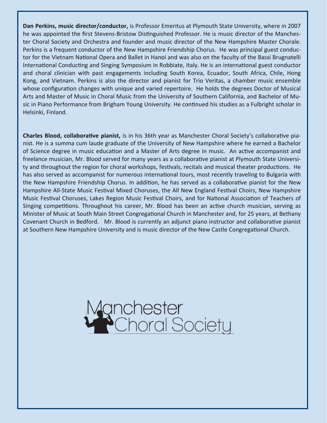**Dan Perkins, music director/conductor,** is Professor Emeritus at Plymouth State University, where in 2007 he was appointed the first Stevens-Bristow Distinguished Professor. He is music director of the Manchester Choral Society and Orchestra and founder and music director of the New Hampshire Master Chorale. Perkins is a frequent conductor of the New Hampshire Friendship Chorus. He was principal guest conduc‐ tor for the Vietnam National Opera and Ballet in Hanoi and was also on the faculty of the Bassi Brugnatelli International Conducting and Singing Symposium in Robbiate, Italy. He is an international guest conductor and choral clinician with past engagements including South Korea, Ecuador, South Africa, Chile, Hong Kong, and Vietnam. Perkins is also the director and pianist for Trio Veritas, a chamber music ensemble whose configuration changes with unique and varied repertoire. He holds the degrees Doctor of Musical Arts and Master of Music in Choral Music from the University of Southern California, and Bachelor of Mu‐ sic in Piano Performance from Brigham Young University. He continued his studies as a Fulbright scholar in Helsinki, Finland.

**Charles Blood, collaborative pianist,** is in his 36th year as Manchester Choral Society's collaborative pianist. He is a summa cum laude graduate of the University of New Hampshire where he earned a Bachelor of Science degree in music education and a Master of Arts degree in music. An active accompanist and freelance musician, Mr. Blood served for many years as a collaborative pianist at Plymouth State University and throughout the region for choral workshops, festivals, recitals and musical theater productions. He has also served as accompanist for numerous international tours, most recently traveling to Bulgaria with the New Hampshire Friendship Chorus. In addition, he has served as a collaborative pianist for the New Hampshire All-State Music Festival Mixed Choruses, the All New England Festival Choirs, New Hampshire Music Festival Choruses, Lakes Region Music Festival Choirs, and for National Association of Teachers of Singing competitions. Throughout his career, Mr. Blood has been an active church musician, serving as Minister of Music at South Main Street Congregational Church in Manchester and, for 25 years, at Bethany Covenant Church in Bedford. Mr. Blood is currently an adjunct piano instructor and collaborative pianist at Southern New Hampshire University and is music director of the New Castle Congregational Church.

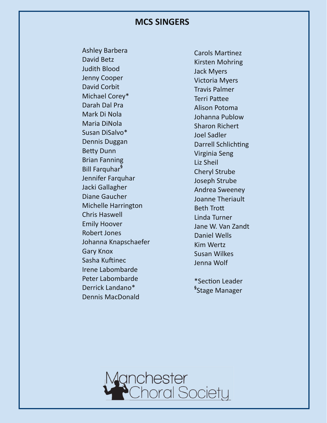#### **MCS SINGERS**

Ashley Barbera David Betz Judith Blood Jenny Cooper David Corbit Michael Corey\* Darah Dal Pra Mark Di Nola Maria DiNola Susan DiSalvo\* Dennis Duggan **Betty Dunn** Brian Fanning Bill Farquhar**§** Jennifer Farquhar Jacki Gallagher Diane Gaucher Michelle Harrington Chris Haswell Emily Hoover Robert Jones Johanna Knapschaefer Gary Knox Sasha Kuftinec Irene Labombarde Peter Labombarde Derrick Landano\* Dennis MacDonald

Carols Martinez Kirsten Mohring Jack Myers Victoria Myers Travis Palmer Terri PaƩee Alison Potoma Johanna Publow Sharon Richert Joel Sadler Darrell Schlichting Virginia Seng Liz Sheil Cheryl Strube Joseph Strube Andrea Sweeney Joanne Theriault **Beth Trott** Linda Turner Jane W. Van Zandt Daniel Wells Kim Wertz Susan Wilkes Jenna Wolf

\*Section Leader **§** Stage Manager

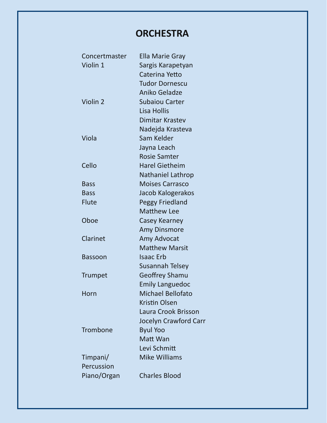## **ORCHESTRA**

| Concertmaster  | Ella Marie Gray          |
|----------------|--------------------------|
| Violin 1       | Sargis Karapetyan        |
|                | Caterina Yetto           |
|                | <b>Tudor Dornescu</b>    |
|                | Aniko Geladze            |
| Violin 2       | <b>Subaiou Carter</b>    |
|                | Lisa Hollis              |
|                | <b>Dimitar Krastev</b>   |
|                | Nadejda Krasteva         |
| Viola          | Sam Kelder               |
|                | Jayna Leach              |
|                | <b>Rosie Samter</b>      |
| Cello          | <b>Harel Gietheim</b>    |
|                | <b>Nathaniel Lathrop</b> |
| <b>Bass</b>    | <b>Moises Carrasco</b>   |
| <b>Bass</b>    | Jacob Kalogerakos        |
| <b>Flute</b>   | <b>Peggy Friedland</b>   |
|                | <b>Matthew Lee</b>       |
| Oboe           | Casey Kearney            |
|                | <b>Amy Dinsmore</b>      |
| Clarinet       | Amy Advocat              |
|                | <b>Matthew Marsit</b>    |
| <b>Bassoon</b> | <b>Isaac Erb</b>         |
|                | Susannah Telsey          |
| <b>Trumpet</b> | <b>Geoffrey Shamu</b>    |
|                | <b>Emily Languedoc</b>   |
| Horn           | Michael Bellofato        |
|                | <b>Kristin Olsen</b>     |
|                | Laura Crook Brisson      |
|                | Jocelyn Crawford Carr    |
| Trombone       | <b>Byul Yoo</b>          |
|                | Matt Wan                 |
|                | Levi Schmitt             |
| Timpani/       | <b>Mike Williams</b>     |
| Percussion     |                          |
| Piano/Organ    | <b>Charles Blood</b>     |
|                |                          |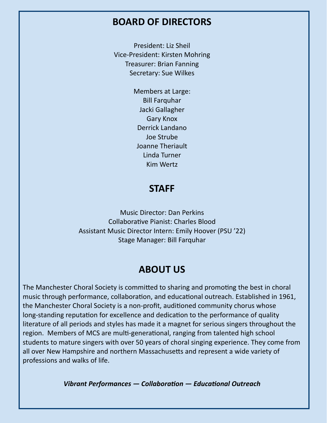### **BOARD OF DIRECTORS**

President: Liz Sheil Vice‐President: Kirsten Mohring Treasurer: Brian Fanning Secretary: Sue Wilkes

> Members at Large: Bill Farquhar Jacki Gallagher Gary Knox Derrick Landano Joe Strube Joanne Theriault Linda Turner Kim Wertz

### **STAFF**

Music Director: Dan Perkins Collaborative Pianist: Charles Blood Assistant Music Director Intern: Emily Hoover (PSU '22) Stage Manager: Bill Farquhar

### **ABOUT US**

The Manchester Choral Society is committed to sharing and promoting the best in choral music through performance, collaboration, and educational outreach. Established in 1961, the Manchester Choral Society is a non-profit, auditioned community chorus whose long-standing reputation for excellence and dedication to the performance of quality literature of all periods and styles has made it a magnet for serious singers throughout the region. Members of MCS are multi-generational, ranging from talented high school students to mature singers with over 50 years of choral singing experience. They come from all over New Hampshire and northern Massachusetts and represent a wide variety of professions and walks of life.

*Vibrant Performances — CollaboraƟon — EducaƟonal Outreach*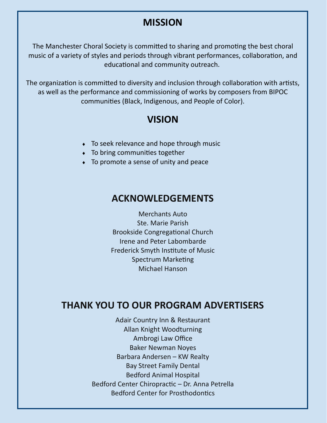### **MISSION**

The Manchester Choral Society is committed to sharing and promoting the best choral music of a variety of styles and periods through vibrant performances, collaboration, and educational and community outreach.

The organization is committed to diversity and inclusion through collaboration with artists, as well as the performance and commissioning of works by composers from BIPOC communities (Black, Indigenous, and People of Color).

### **VISION**

- ◆ To seek relevance and hope through music
- $\bullet$  To bring communities together
- To promote a sense of unity and peace

### **ACKNOWLEDGEMENTS**

Merchants Auto Ste. Marie Parish Brookside Congregational Church Irene and Peter Labombarde Frederick Smyth Institute of Music Spectrum Marketing Michael Hanson

### **THANK YOU TO OUR PROGRAM ADVERTISERS**

Adair Country Inn & Restaurant Allan Knight Woodturning Ambrogi Law Office Baker Newman Noyes Barbara Andersen – KW Realty Bay Street Family Dental Bedford Animal Hospital Bedford Center Chiropractic – Dr. Anna Petrella Bedford Center for Prosthodontics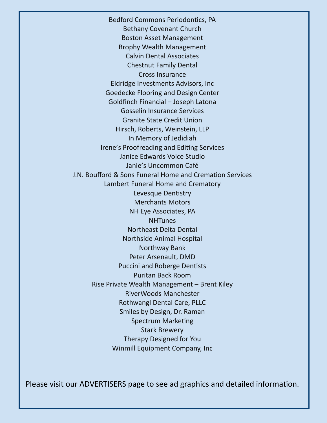Bedford Commons Periodontics, PA Bethany Covenant Church Boston Asset Management Brophy Wealth Management Calvin Dental Associates Chestnut Family Dental Cross Insurance Eldridge Investments Advisors, Inc Goedecke Flooring and Design Center Goldfinch Financial – Joseph Latona Gosselin Insurance Services Granite State Credit Union Hirsch, Roberts, Weinstein, LLP In Memory of Jedidiah Irene's Proofreading and Editing Services Janice Edwards Voice Studio Janie's Uncommon Café J.N. Boufford & Sons Funeral Home and Cremation Services Lambert Funeral Home and Crematory Levesque Dentistry Merchants Motors NH Eye Associates, PA **NHTunes** Northeast Delta Dental Northside Animal Hospital Northway Bank Peter Arsenault, DMD Puccini and Roberge Dentists Puritan Back Room Rise Private Wealth Management – Brent Kiley RiverWoods Manchester Rothwangl Dental Care, PLLC Smiles by Design, Dr. Raman Spectrum Marketing Stark Brewery Therapy Designed for You Winmill Equipment Company, Inc

Please visit our ADVERTISERS page to see ad graphics and detailed information.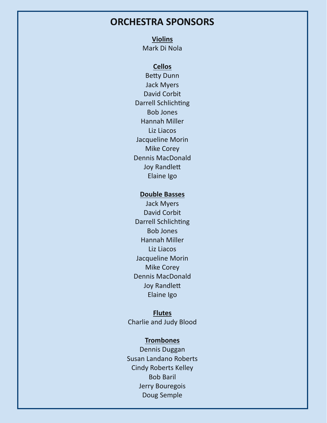### **ORCHESTRA SPONSORS**

**Violins** 

Mark Di Nola

### **Cellos**

**Betty Dunn** Jack Myers David Corbit Darrell Schlichting Bob Jones Hannah Miller Liz Liacos Jacqueline Morin Mike Corey Dennis MacDonald Joy Randlett Elaine Igo

#### **Double Basses**

Jack Myers David Corbit Darrell Schlichting Bob Jones Hannah Miller Liz Liacos Jacqueline Morin Mike Corey Dennis MacDonald **Joy Randlett** Elaine Igo

#### **Flutes**

Charlie and Judy Blood

#### **Trombones**

Dennis Duggan Susan Landano Roberts Cindy Roberts Kelley Bob Baril Jerry Bouregois Doug Semple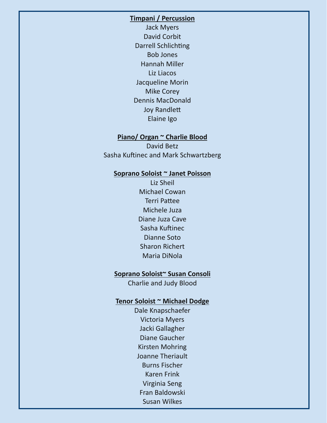#### **Timpani / Percussion**

Jack Myers David Corbit Darrell Schlichting Bob Jones Hannah Miller Liz Liacos Jacqueline Morin Mike Corey Dennis MacDonald **Joy Randlett** Elaine Igo

#### **Piano/ Organ ~ Charlie Blood**

David Betz Sasha Kuftinec and Mark Schwartzberg

#### **Soprano Soloist ~ Janet Poisson**

Liz Sheil Michael Cowan **Terri Pattee** Michele Juza Diane Juza Cave Sasha Kuftinec Dianne Soto Sharon Richert Maria DiNola

#### **Soprano Soloist~ Susan Consoli**

Charlie and Judy Blood

#### **Tenor Soloist ~ Michael Dodge**

Dale Knapschaefer Victoria Myers Jacki Gallagher Diane Gaucher Kirsten Mohring Joanne Theriault Burns Fischer Karen Frink Virginia Seng Fran Baldowski Susan Wilkes